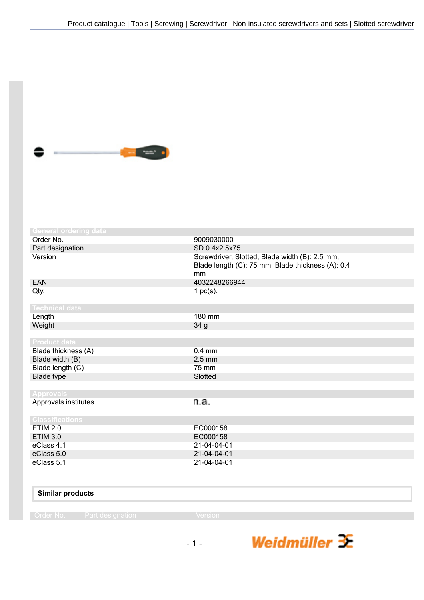

| <b>General ordering data</b> |                                                                                                           |
|------------------------------|-----------------------------------------------------------------------------------------------------------|
| Order No.                    | 9009030000                                                                                                |
| Part designation             | SD 0.4x2.5x75                                                                                             |
| Version                      | Screwdriver, Slotted, Blade width (B): 2.5 mm,<br>Blade length (C): 75 mm, Blade thickness (A): 0.4<br>mm |
| <b>EAN</b>                   | 4032248266944                                                                                             |
| Qty.                         | 1 $pc(s)$ .                                                                                               |
| <b>Technical data</b>        |                                                                                                           |
| Length                       | 180 mm                                                                                                    |
| Weight                       | 34 g                                                                                                      |
|                              |                                                                                                           |
| <b>Product data</b>          |                                                                                                           |
| Blade thickness (A)          | $0.4$ mm                                                                                                  |
| Blade width (B)              | $2.5 \text{ mm}$                                                                                          |
| Blade length (C)             | 75 mm                                                                                                     |
| Blade type                   | Slotted                                                                                                   |
|                              |                                                                                                           |
| <b>Approvals</b>             |                                                                                                           |
| Approvals institutes         | n.a.                                                                                                      |
| <b>Classifications</b>       |                                                                                                           |
| <b>ETIM 2.0</b>              | EC000158                                                                                                  |
| <b>ETIM 3.0</b>              | EC000158                                                                                                  |
| eClass 4.1                   | 21-04-04-01                                                                                               |
| eClass 5.0                   | 21-04-04-01                                                                                               |
| eClass 5.1                   | 21-04-04-01                                                                                               |
|                              |                                                                                                           |
|                              |                                                                                                           |

## **Similar products**